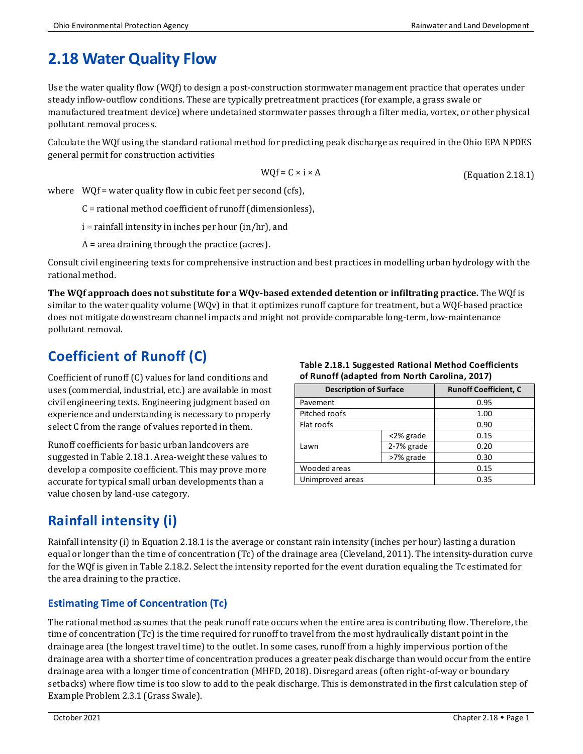# **2.18 Water Quality Flow**

Use the water quality flow (WQf) to design a post-construction stormwater management practice that operates under steady inflow-outflow conditions. These are typically pretreatment practices (for example, a grass swale or manufactured treatment device) where undetained stormwater passes through a filter media, vortex, or other physical pollutant removal process.

Calculate the WQf using the standard rational method for predicting peak discharge as required in the Ohio EPA NPDES general permit for construction activities

$$
WQf = C \times i \times A
$$

(Equation 2.18.1)

where  $WOf = water$  quality flow in cubic feet per second (cfs),

C = rational method coefficient of runoff (dimensionless),

i = rainfall intensity in inches per hour (in/hr), and

A = area draining through the practice (acres).

Consult civil engineering texts for comprehensive instruction and best practices in modelling urban hydrology with the rational method.

**The WQf approach does not substitute for a WQv-based extended detention or infiltrating practice.** The WQf is similar to the water quality volume (WQv) in that it optimizes runoff capture for treatment, but a WQf-based practice does not mitigate downstream channel impacts and might not provide comparable long-term, low-maintenance pollutant removal.

## **Coefficient of Runoff (C)**

Coefficient of runoff (C) values for land conditions and uses (commercial, industrial, etc.) are available in most civil engineering texts. Engineering judgment based on experience and understanding is necessary to properly select C from the range of values reported in them.

Runoff coefficients for basic urban landcovers are suggested in Table 2.18.1. Area-weight these values to develop a composite coefficient. This may prove more accurate for typical small urban developments than a value chosen by land-use category.

#### **Table 2.18.1 Suggested Rational Method Coefficients of Runoff (adapted from North Carolina, 2017)**

| <b>Description of Surface</b> |            | <b>Runoff Coefficient, C</b> |  |
|-------------------------------|------------|------------------------------|--|
| Pavement                      | 0.95       |                              |  |
| Pitched roofs                 | 1.00       |                              |  |
| Flat roofs                    | 0.90       |                              |  |
| Lawn                          | <2% grade  | 0.15                         |  |
|                               | 2-7% grade | 0.20                         |  |
|                               | >7% grade  | 0.30                         |  |
| Wooded areas                  |            | 0.15                         |  |
| Unimproved areas              |            | 0.35                         |  |

## **Rainfall intensity (i)**

Rainfall intensity (i) in Equation 2.18.1 is the average or constant rain intensity (inches per hour) lasting a duration equal or longer than the time of concentration (Tc) of the drainage area (Cleveland, 2011). The intensity-duration curve for the WQf is given in Table 2.18.2. Select the intensity reported for the event duration equaling the Tc estimated for the area draining to the practice.

#### **Estimating Time of Concentration (Tc)**

The rational method assumes that the peak runoff rate occurs when the entire area is contributing flow. Therefore, the time of concentration (Tc) is the time required for runoff to travel from the most hydraulically distant point in the drainage area (the longest travel time) to the outlet. In some cases, runoff from a highly impervious portion of the drainage area with a shorter time of concentration produces a greater peak discharge than would occur from the entire drainage area with a longer time of concentration (MHFD, 2018). Disregard areas (often right-of-way or boundary setbacks) where flow time is too slow to add to the peak discharge. This is demonstrated in the first calculation step of Example Problem 2.3.1 (Grass Swale).